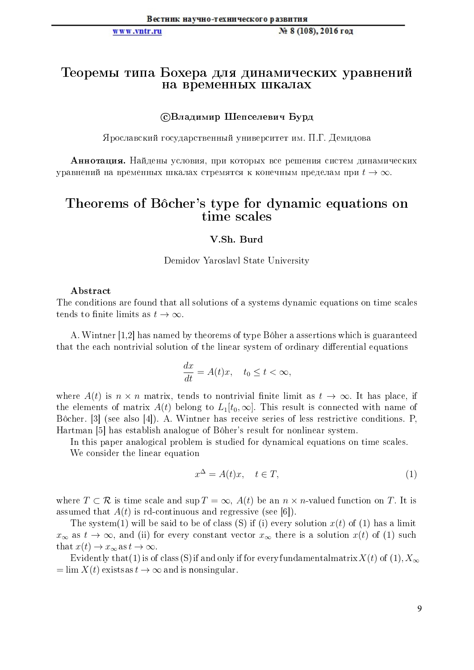### www.vntr.ru

# Теоремы типа Бохера для динамических уравнений на временных шкалах

## СВладимир Шепселевич Бурд

Ярославский государственный университет им. П.Г. Демидова

Аннотация. Найдены условия, при которых все решения систем динамических уравнений на временных шкалах стремятся к конечным пределам при  $t \to \infty$ .

# Theorems of Bôcher's type for dynamic equations on time scales

### V.Sh. Burd

Demidov Yaroslavl State University

## Abstract

The conditions are found that all solutions of a systems dynamic equations on time scales tends to finite limits as  $t \to \infty$ .

A. Wintner [1,2] has named by theorems of type Bôher a assertions which is guaranteed that the each nontrivial solution of the linear system of ordinary differential equations

$$
\frac{dx}{dt} = A(t)x, \quad t_0 \le t < \infty,
$$

where  $A(t)$  is  $n \times n$  matrix, tends to nontrivial finite limit as  $t \to \infty$ . It has place, if the elements of matrix  $A(t)$  belong to  $L_1[t_0,\infty]$ . This result is connected with name of Bôcher. [3] (see also [4]). A. Wintner has receive series of less restrictive conditions. P. Hartman [5] has establish analogue of Bôher's result for nonlinear system.

In this paper analogical problem is studied for dynamical equations on time scales.

We consider the linear equation

$$
x^{\Delta} = A(t)x, \quad t \in T,\tag{1}
$$

where  $T \subset \mathcal{R}$  is time scale and sup  $T = \infty$ ,  $A(t)$  be an  $n \times n$ -valued function on T. It is assumed that  $A(t)$  is rd-continuous and regressive (see [6]).

The system(1) will be said to be of class (S) if (i) every solution  $x(t)$  of (1) has a limit  $x_{\infty}$  as  $t \to \infty$ , and (ii) for every constant vector  $x_{\infty}$  there is a solution  $x(t)$  of (1) such that  $x(t) \to x_{\infty}$  as  $t \to \infty$ .

Evidently that (1) is of class (S) if and only if for every fundamental matrix  $X(t)$  of (1),  $X_{\infty}$  $=\lim X(t)$  exists as  $t \to \infty$  and is nonsingular.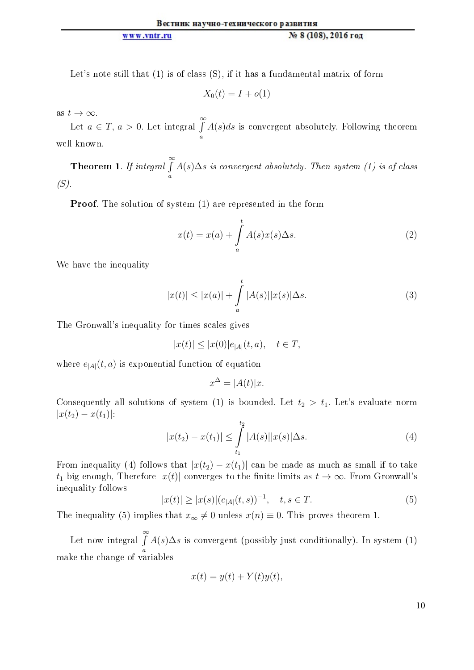Let's note still that (1) is of class (S), if it has a fundamental matrix of form

$$
X_0(t) = I + o(1)
$$

as  $t \to \infty$ .

Let  $a \in T$ ,  $a > 0$ . Let integral  $\int_{0}^{\infty}$ a  $A(s)ds$  is convergent absolutely. Following theorem well known.

Theorem 1. If integral  $\int_0^\infty$ a  $A(s)\Delta s$  is convergent absolutely. Then system (1) is of class  $(S)$ .

Proof. The solution of system (1) are represented in the form

$$
x(t) = x(a) + \int_{a}^{t} A(s)x(s)\Delta s.
$$
 (2)

We have the inequality

$$
|x(t)| \le |x(a)| + \int_{a}^{t} |A(s)| |x(s)| \Delta s. \tag{3}
$$

The Gronwall's inequality for times scales gives

$$
|x(t)| \le |x(0)|e_{|A|}(t, a), \quad t \in T,
$$

where  $e_{|A|}(t, a)$  is exponential function of equation

$$
x^{\Delta} = |A(t)|x.
$$

Consequently all solutions of system (1) is bounded. Let  $t_2 > t_1$ . Let's evaluate norm  $|x(t_2) - x(t_1)|$ :

$$
|x(t_2) - x(t_1)| \le \int_{t_1}^{t_2} |A(s)| |x(s)| \Delta s. \tag{4}
$$

From inequality (4) follows that  $|x(t_2) - x(t_1)|$  can be made as much as small if to take  $t_1$  big enough, Therefore  $|x(t)|$  converges to the finite limits as  $t \to \infty$ . From Gronwall's inequality follows

$$
|x(t)| \ge |x(s)| (e_{|A|}(t,s))^{-1}, \quad t, s \in T.
$$
 (5)

The inequality (5) implies that  $x_{\infty} \neq 0$  unless  $x(n) \equiv 0$ . This proves theorem 1.

Let now integral  $\int^{\infty}$ a  $A(s)\Delta s$  is convergent (possibly just conditionally). In system (1) make the change of variables

$$
x(t) = y(t) + Y(t)y(t),
$$

10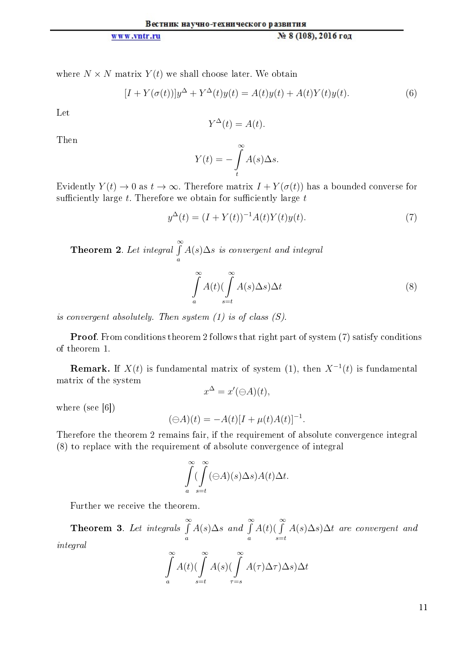#### Вестник научно-технического развития www.vntr.ru № 8 (108), 2016 год

where  $N \times N$  matrix  $Y(t)$  we shall choose later. We obtain

$$
[I + Y(\sigma(t))]y^{\Delta} + Y^{\Delta}(t)y(t) = A(t)y(t) + A(t)Y(t)y(t).
$$
\n(6)

Let

$$
Y^{\Delta}(t) = A(t).
$$

Then

$$
Y(t) = -\int_{t}^{\infty} A(s) \Delta s.
$$

Evidently  $Y(t) \to 0$  as  $t \to \infty$ . Therefore matrix  $I + Y(\sigma(t))$  has a bounded converse for sufficiently large  $t$ . Therefore we obtain for sufficiently large  $t$ 

$$
y^{\Delta}(t) = (I + Y(t))^{-1} A(t) Y(t) y(t).
$$
\n(7)

Theorem 2. Let integral  $\int_0^\infty$ a  $A(s)\Delta s$  is convergent and integral

$$
\int_{a}^{\infty} A(t) (\int_{s=t}^{\infty} A(s) \Delta s) \Delta t
$$
\n(8)

is convergent absolutely. Then system (1) is of class (S).

Proof. From conditions theorem 2 follows that right part of system (7) satisfy conditions of theorem 1.

**Remark.** If  $X(t)$  is fundamental matrix of system (1), then  $X^{-1}(t)$  is fundamental matrix of the system

$$
x^{\Delta} = x'(\ominus A)(t),
$$

where (see [6])

$$
(\ominus A)(t) = -A(t)[I + \mu(t)A(t)]^{-1}.
$$

Therefore the theorem 2 remains fair, if the requirement of absolute convergence integral (8) to replace with the requirement of absolute convergence of integral

$$
\int_{a}^{\infty} \left(\int_{s=t}^{\infty} (\ominus A)(s) \Delta s \right) A(t) \Delta t.
$$

Further we receive the theorem.

**Theorem 3.** Let integrals  $\int^{\infty}$ a  $A(s)\Delta s$  and  $\int_{0}^{\infty}$ a  $A(t)$ ( $\int_0^\infty$  $s = t$  $A(s)\Delta s$ ) $\Delta t$  are convergent and integral

$$
\int_{a}^{\infty} A(t) (\int_{s=t}^{\infty} A(s) (\int_{\tau=s}^{\infty} A(\tau) \Delta \tau) \Delta s) \Delta t
$$

11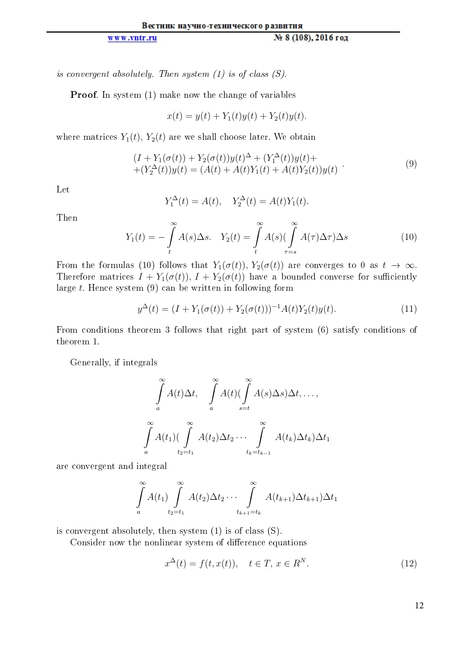is convergent absolutely. Then system  $(1)$  is of class  $(S)$ .

Proof. In system (1) make now the change of variables

$$
x(t) = y(t) + Y_1(t)y(t) + Y_2(t)y(t).
$$

where matrices  $Y_1(t)$ ,  $Y_2(t)$  are we shall choose later. We obtain

$$
(I + Y_1(\sigma(t)) + Y_2(\sigma(t))y(t)^{\Delta} + (Y_1^{\Delta}(t))y(t) + (Y_2^{\Delta}(t))y(t) = (A(t) + A(t)Y_1(t) + A(t)Y_2(t))y(t)
$$
\n(9)

Let

$$
Y_1^{\Delta}(t) = A(t), \quad Y_2^{\Delta}(t) = A(t)Y_1(t).
$$

Then

$$
Y_1(t) = -\int\limits_t^\infty A(s)\Delta s. \quad Y_2(t) = \int\limits_t^\infty A(s)\left(\int\limits_{\tau=s}^\infty A(\tau)\Delta \tau\right)\Delta s \tag{10}
$$

From the formulas (10) follows that  $Y_1(\sigma(t))$ ,  $Y_2(\sigma(t))$  are converges to 0 as  $t \to \infty$ . Therefore matrices  $I + Y_1(\sigma(t)), I + Y_2(\sigma(t))$  have a bounded converse for sufficiently large t. Hence system (9) can be written in following form

$$
y^{\Delta}(t) = (I + Y_1(\sigma(t)) + Y_2(\sigma(t)))^{-1} A(t)Y_2(t)y(t).
$$
\n(11)

From conditions theorem 3 follows that right part of system (6) satisfy conditions of theorem 1.

Generally, if integrals

$$
\int_{a}^{\infty} A(t) \Delta t, \quad \int_{a}^{\infty} A(t) (\int_{s=t}^{\infty} A(s) \Delta s) \Delta t, \dots,
$$

$$
\int_{a}^{\infty} A(t_1) (\int_{t_2=t_1}^{\infty} A(t_2) \Delta t_2 \cdots \int_{t_k=t_{k-1}}^{\infty} A(t_k) \Delta t_k) \Delta t_1
$$

are convergent and integral

$$
\int\limits_a^\infty A(t_1) \int\limits_{t_2=t_1}^\infty A(t_2) \Delta t_2 \cdots \int\limits_{t_{k+1}=t_k}^\infty A(t_{k+1}) \Delta t_{k+1} )\Delta t_1
$$

is convergent absolutely, then system (1) is of class (S).

Consider now the nonlinear system of difference equations

$$
x^{\Delta}(t) = f(t, x(t)), \quad t \in T, x \in R^N.
$$
\n
$$
(12)
$$

12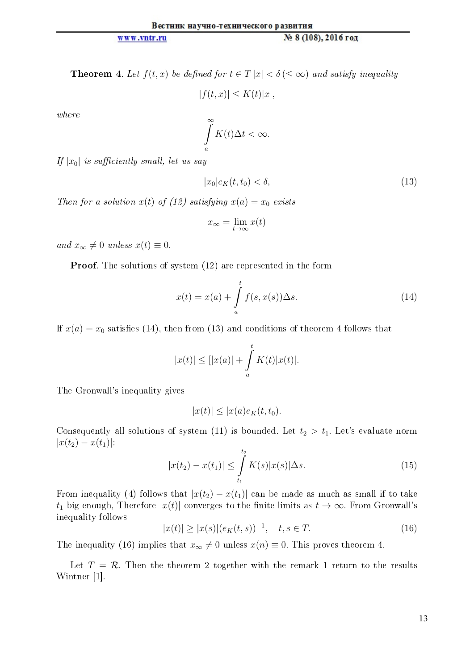**Theorem 4.** Let  $f(t, x)$  be defined for  $t \in T |x| < \delta \leq \infty$  and satisfy inequality

$$
|f(t,x)| \le K(t)|x|,
$$

where

$$
\int\limits_a^\infty K(t)\Delta t < \infty.
$$

If  $|x_0|$  is sufficiently small, let us say

$$
|x_0|e_K(t, t_0) < \delta,\tag{13}
$$

Then for a solution  $x(t)$  of (12) satisfying  $x(a) = x_0$  exists

$$
x_{\infty} = \lim_{t \to \infty} x(t)
$$

and  $x_{\infty} \neq 0$  unless  $x(t) \equiv 0$ .

Proof. The solutions of system (12) are represented in the form

$$
x(t) = x(a) + \int_{a}^{t} f(s, x(s)) \Delta s.
$$
 (14)

If  $x(a) = x_0$  satisfies (14), then from (13) and conditions of theorem 4 follows that

$$
|x(t)| \leq [|x(a)| + \int_a^t K(t)|x(t)|.
$$

The Gronwall's inequality gives

$$
|x(t)| \le |x(a)e_K(t,t_0).
$$

Consequently all solutions of system (11) is bounded. Let  $t_2 > t_1$ . Let's evaluate norm  $|x(t_2) - x(t_1)|$ :

$$
|x(t_2) - x(t_1)| \le \int_{t_1}^{t_2} K(s)|x(s)|\Delta s. \tag{15}
$$

From inequality (4) follows that  $|x(t_2) - x(t_1)|$  can be made as much as small if to take t<sub>1</sub> big enough, Therefore  $|x(t)|$  converges to the finite limits as  $t \to \infty$ . From Gronwall's inequality follows

$$
|x(t)| \ge |x(s)| (e_K(t, s))^{-1}, \quad t, s \in T.
$$
 (16)

The inequality (16) implies that  $x_{\infty} \neq 0$  unless  $x(n) \equiv 0$ . This proves theorem 4.

Let  $T = \mathcal{R}$ . Then the theorem 2 together with the remark 1 return to the results Wintner [1].